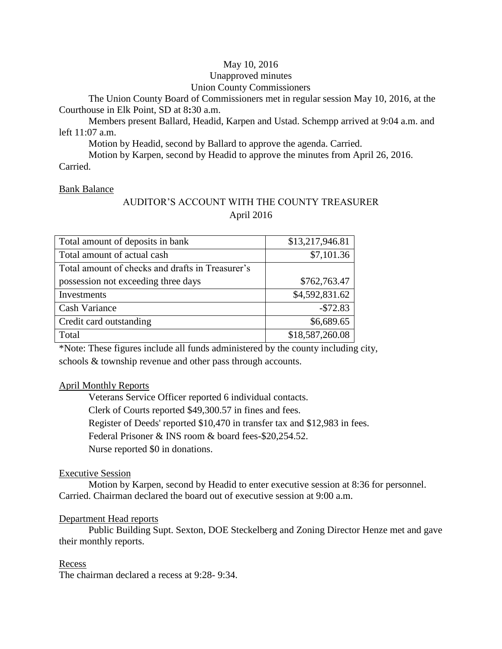# May 10, 2016

## Unapproved minutes

# Union County Commissioners

The Union County Board of Commissioners met in regular session May 10, 2016, at the Courthouse in Elk Point, SD at 8**:**30 a.m.

Members present Ballard, Headid, Karpen and Ustad. Schempp arrived at 9:04 a.m. and left 11:07 a.m.

Motion by Headid, second by Ballard to approve the agenda. Carried.

Motion by Karpen, second by Headid to approve the minutes from April 26, 2016. Carried.

## Bank Balance

# AUDITOR'S ACCOUNT WITH THE COUNTY TREASURER April 2016

| Total amount of deposits in bank                 | \$13,217,946.81 |
|--------------------------------------------------|-----------------|
| Total amount of actual cash                      | \$7,101.36      |
| Total amount of checks and drafts in Treasurer's |                 |
| possession not exceeding three days              | \$762,763.47    |
| Investments                                      | \$4,592,831.62  |
| <b>Cash Variance</b>                             | $-$72.83$       |
| Credit card outstanding                          | \$6,689.65      |
| Total                                            | \$18,587,260.08 |

\*Note: These figures include all funds administered by the county including city, schools & township revenue and other pass through accounts.

## April Monthly Reports

Veterans Service Officer reported 6 individual contacts. Clerk of Courts reported \$49,300.57 in fines and fees. Register of Deeds' reported \$10,470 in transfer tax and \$12,983 in fees. Federal Prisoner & INS room & board fees-\$20,254.52. Nurse reported \$0 in donations.

## Executive Session

Motion by Karpen, second by Headid to enter executive session at 8:36 for personnel. Carried. Chairman declared the board out of executive session at 9:00 a.m.

## Department Head reports

Public Building Supt. Sexton, DOE Steckelberg and Zoning Director Henze met and gave their monthly reports.

## Recess

The chairman declared a recess at 9:28- 9:34.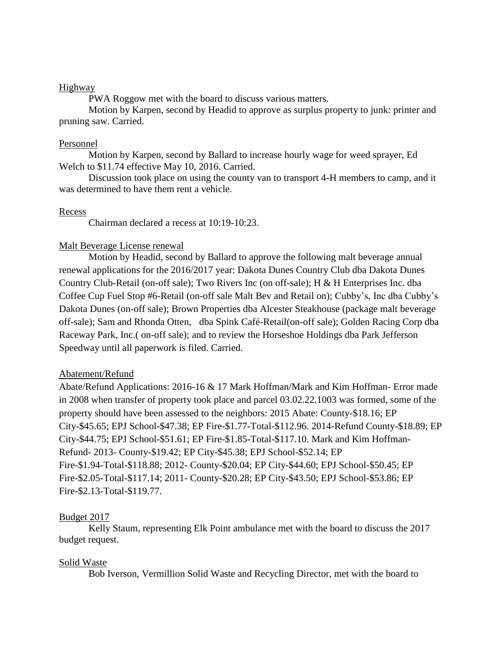#### Highway

PWA Roggow met with the board to discuss various matters.

Motion by Karpen, second by Headid to approve as surplus property to junk: printer and pruning saw. Carried.

### Personnel

Motion by Karpen, second by Ballard to increase hourly wage for weed sprayer, Ed Welch to \$11.74 effective May 10, 2016. Carried.

Discussion took place on using the county van to transport 4-H members to camp, and it was determined to have them rent a vehicle.

### Recess

Chairman declared a recess at 10:19-10:23.

### Malt Beverage License renewal

Motion by Headid, second by Ballard to approve the following malt beverage annual renewal applications for the 2016/2017 year: Dakota Dunes Country Club dba Dakota Dunes Country Club-Retail (on-off sale); Two Rivers Inc (on off-sale); H & H Enterprises Inc. dba Coffee Cup Fuel Stop #6-Retail (on-off sale Malt Bev and Retail on); Cubby's, Inc dba Cubby's Dakota Dunes (on-off sale); Brown Properties dba Alcester Steakhouse (package malt beverage off-sale); Sam and Rhonda Otten, dba Spink Café-Retail(on-off sale); Golden Racing Corp dba Raceway Park, Inc.( on-off sale); and to review the Horseshoe Holdings dba Park Jefferson Speedway until all paperwork is filed. Carried.

#### Abatement/Refund

Abate/Refund Applications: 2016-16 & 17 Mark Hoffman/Mark and Kim Hoffman- Error made in 2008 when transfer of property took place and parcel 03.02.22.1003 was formed, some of the property should have been assessed to the neighbors: 2015 Abate: County-\$18.16; EP City-\$45.65; EPJ School-\$47.38; EP Fire-\$1.77-Total-\$112.96. 2014-Refund County-\$18.89; EP City-\$44.75; EPJ School-\$51.61; EP Fire-\$1.85-Total-\$117.10. Mark and Kim Hoffman-Refund- 2013- County-\$19.42; EP City-\$45.38; EPJ School-\$52.14; EP Fire-\$1.94-Total-\$118.88; 2012- County-\$20.04; EP City-\$44.60; EPJ School-\$50.45; EP Fire-\$2.05-Total-\$117.14; 2011- County-\$20.28; EP City-\$43.50; EPJ School-\$53.86; EP Fire-\$2.13-Total-\$119.77.

## Budget 2017

Kelly Staum, representing Elk Point ambulance met with the board to discuss the 2017 budget request.

#### Solid Waste

Bob Iverson, Vermillion Solid Waste and Recycling Director, met with the board to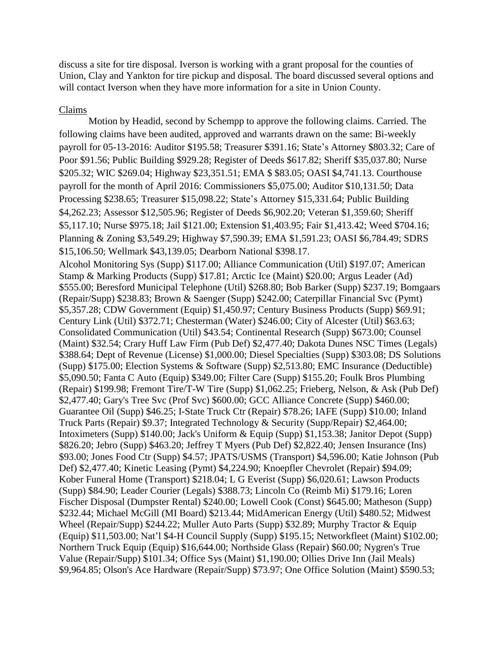discuss a site for tire disposal. Iverson is working with a grant proposal for the counties of Union, Clay and Yankton for tire pickup and disposal. The board discussed several options and will contact Iverson when they have more information for a site in Union County.

## Claims

Motion by Headid, second by Schempp to approve the following claims. Carried. The following claims have been audited, approved and warrants drawn on the same: Bi-weekly payroll for 05-13-2016: Auditor \$195.58; Treasurer \$391.16; State's Attorney \$803.32; Care of Poor \$91.56; Public Building \$929.28; Register of Deeds \$617.82; Sheriff \$35,037.80; Nurse \$205.32; WIC \$269.04; Highway \$23,351.51; EMA \$ \$83.05; OASI \$4,741.13. Courthouse payroll for the month of April 2016: Commissioners \$5,075.00; Auditor \$10,131.50; Data Processing \$238.65; Treasurer \$15,098.22; State's Attorney \$15,331.64; Public Building \$4,262.23; Assessor \$12,505.96; Register of Deeds \$6,902.20; Veteran \$1,359.60; Sheriff \$5,117.10; Nurse \$975.18; Jail \$121.00; Extension \$1,403.95; Fair \$1,413.42; Weed \$704.16; Planning & Zoning \$3,549.29; Highway \$7,590.39; EMA \$1,591.23; OASI \$6,784.49; SDRS \$15,106.50; Wellmark \$43,139.05; Dearborn National \$398.17. Alcohol Monitoring Sys (Supp) \$117.00; Alliance Communication (Util) \$197.07; American Stamp & Marking Products (Supp) \$17.81; Arctic Ice (Maint) \$20.00; Argus Leader (Ad) \$555.00; Beresford Municipal Telephone (Util) \$268.80; Bob Barker (Supp) \$237.19; Bomgaars (Repair/Supp) \$238.83; Brown & Saenger (Supp) \$242.00; Caterpillar Financial Svc (Pymt) \$5,357.28; CDW Government (Equip) \$1,450.97; Century Business Products (Supp) \$69.91; Century Link (Util) \$372.71; Chesterman (Water) \$246.00; City of Alcester (Util) \$63.63; Consolidated Communication (Util) \$43.54; Continental Research (Supp) \$673.00; Counsel (Maint) \$32.54; Crary Huff Law Firm (Pub Def) \$2,477.40; Dakota Dunes NSC Times (Legals) \$388.64; Dept of Revenue (License) \$1,000.00; Diesel Specialties (Supp) \$303.08; DS Solutions (Supp) \$175.00; Election Systems & Software (Supp) \$2,513.80; EMC Insurance (Deductible) \$5,090.50; Fanta C Auto (Equip) \$349.00; Filter Care (Supp) \$155.20; Foulk Bros Plumbing (Repair) \$199.98; Fremont Tire/T-W Tire (Supp) \$1,062.25; Frieberg, Nelson, & Ask (Pub Def) \$2,477.40; Gary's Tree Svc (Prof Svc) \$600.00; GCC Alliance Concrete (Supp) \$460.00; Guarantee Oil (Supp) \$46.25; I-State Truck Ctr (Repair) \$78.26; IAFE (Supp) \$10.00; Inland Truck Parts (Repair) \$9.37; Integrated Technology & Security (Supp/Repair) \$2,464.00; Intoximeters (Supp) \$140.00; Jack's Uniform & Equip (Supp) \$1,153.38; Janitor Depot (Supp) \$826.20; Jebro (Supp) \$463.20; Jeffrey T Myers (Pub Def) \$2,822.40; Jensen Insurance (Ins) \$93.00; Jones Food Ctr (Supp) \$4.57; JPATS/USMS (Transport) \$4,596.00; Katie Johnson (Pub Def) \$2,477.40; Kinetic Leasing (Pymt) \$4,224.90; Knoepfler Chevrolet (Repair) \$94.09; Kober Funeral Home (Transport) \$218.04; L G Everist (Supp) \$6,020.61; Lawson Products (Supp) \$84.90; Leader Courier (Legals) \$388.73; Lincoln Co (Reimb Mi) \$179.16; Loren Fischer Disposal (Dumpster Rental) \$240.00; Lowell Cook (Const) \$645.00; Matheson (Supp) \$232.44; Michael McGill (MI Board) \$213.44; MidAmerican Energy (Util) \$480.52; Midwest Wheel (Repair/Supp) \$244.22; Muller Auto Parts (Supp) \$32.89; Murphy Tractor & Equip (Equip) \$11,503.00; Nat'l \$4-H Council Supply (Supp) \$195.15; Networkfleet (Maint) \$102.00; Northern Truck Equip (Equip) \$16,644.00; Northside Glass (Repair) \$60.00; Nygren's True Value (Repair/Supp) \$101.34; Office Sys (Maint) \$1,190.00; Ollies Drive Inn (Jail Meals) \$9,964.85; Olson's Ace Hardware (Repair/Supp) \$73.97; One Office Solution (Maint) \$590.53;